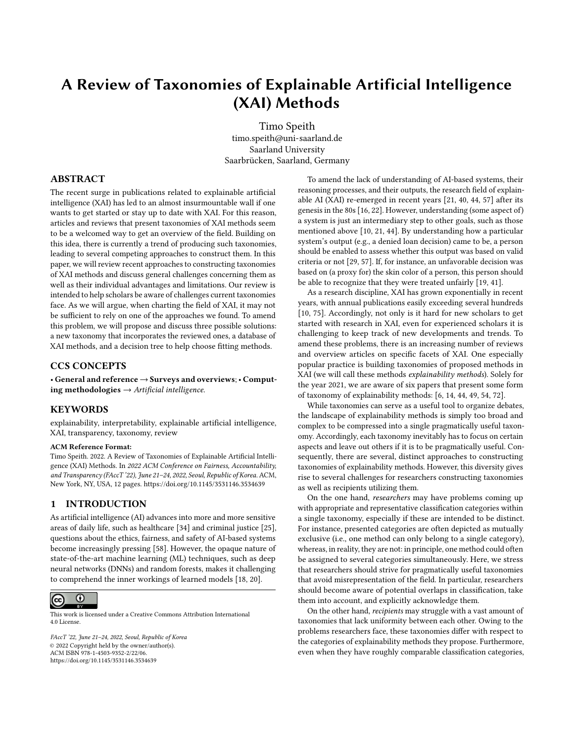# A Review of Taxonomies of Explainable Artificial Intelligence (XAI) Methods

[Timo Speith](https://orcid.org/0000-0002-6675-154X) timo.speith@uni-saarland.de Saarland University Saarbrücken, Saarland, Germany

#### ABSTRACT

The recent surge in publications related to explainable artificial intelligence (XAI) has led to an almost insurmountable wall if one wants to get started or stay up to date with XAI. For this reason, articles and reviews that present taxonomies of XAI methods seem to be a welcomed way to get an overview of the field. Building on this idea, there is currently a trend of producing such taxonomies, leading to several competing approaches to construct them. In this paper, we will review recent approaches to constructing taxonomies of XAI methods and discuss general challenges concerning them as well as their individual advantages and limitations. Our review is intended to help scholars be aware of challenges current taxonomies face. As we will argue, when charting the field of XAI, it may not be sufficient to rely on one of the approaches we found. To amend this problem, we will propose and discuss three possible solutions: a new taxonomy that incorporates the reviewed ones, a database of XAI methods, and a decision tree to help choose fitting methods.

## CCS CONCEPTS

• General and reference → Surveys and overviews; • Computing methodologies  $\rightarrow$  Artificial intelligence.

#### **KEYWORDS**

explainability, interpretability, explainable artificial intelligence, XAI, transparency, taxonomy, review

#### ACM Reference Format:

Timo Speith. 2022. A Review of Taxonomies of Explainable Artificial Intelligence (XAI) Methods. In 2022 ACM Conference on Fairness, Accountability, and Transparency (FAccT '22), June 21–24, 2022, Seoul, Republic of Korea. ACM, New York, NY, USA, [12](#page-11-0) pages.<https://doi.org/10.1145/3531146.3534639>

#### 1 INTRODUCTION

As artificial intelligence (AI) advances into more and more sensitive areas of daily life, such as healthcare [\[34\]](#page-10-0) and criminal justice [\[25\]](#page-10-1), questions about the ethics, fairness, and safety of AI-based systems become increasingly pressing [\[58\]](#page-11-1). However, the opaque nature of state-of-the-art machine learning (ML) techniques, such as deep neural networks (DNNs) and random forests, makes it challenging to comprehend the inner workings of learned models [\[18,](#page-10-2) [20\]](#page-10-3).



This work is licensed under a [Creative Commons Attribution International](https://creativecommons.org/licenses/by/4.0/) [4.0 License.](https://creativecommons.org/licenses/by/4.0/)

FAccT '22, June 21–24, 2022, Seoul, Republic of Korea © 2022 Copyright held by the owner/author(s). ACM ISBN 978-1-4503-9352-2/22/06. <https://doi.org/10.1145/3531146.3534639>

To amend the lack of understanding of AI-based systems, their reasoning processes, and their outputs, the research field of explainable AI (XAI) re-emerged in recent years [\[21,](#page-10-4) [40,](#page-10-5) [44,](#page-11-2) [57\]](#page-11-3) after its genesis in the 80s [\[16,](#page-10-6) [22\]](#page-10-7). However, understanding (some aspect of) a system is just an intermediary step to other goals, such as those mentioned above [\[10,](#page-10-8) [21,](#page-10-4) [44\]](#page-11-2). By understanding how a particular system's output (e.g., a denied loan decision) came to be, a person should be enabled to assess whether this output was based on valid criteria or not [\[29,](#page-10-9) [57\]](#page-11-3). If, for instance, an unfavorable decision was based on (a proxy for) the skin color of a person, this person should be able to recognize that they were treated unfairly [\[19,](#page-10-10) [41\]](#page-11-4).

As a research discipline, XAI has grown exponentially in recent years, with annual publications easily exceeding several hundreds [\[10,](#page-10-8) [75\]](#page-11-5). Accordingly, not only is it hard for new scholars to get started with research in XAI, even for experienced scholars it is challenging to keep track of new developments and trends. To amend these problems, there is an increasing number of reviews and overview articles on specific facets of XAI. One especially popular practice is building taxonomies of proposed methods in XAI (we will call these methods explainability methods). Solely for the year 2021, we are aware of six papers that present some form of taxonomy of explainability methods: [\[6,](#page-10-11) [14,](#page-10-12) [44,](#page-11-2) [49,](#page-11-6) [54,](#page-11-7) [72\]](#page-11-8).

While taxonomies can serve as a useful tool to organize debates, the landscape of explainability methods is simply too broad and complex to be compressed into a single pragmatically useful taxonomy. Accordingly, each taxonomy inevitably has to focus on certain aspects and leave out others if it is to be pragmatically useful. Consequently, there are several, distinct approaches to constructing taxonomies of explainability methods. However, this diversity gives rise to several challenges for researchers constructing taxonomies as well as recipients utilizing them.

On the one hand, researchers may have problems coming up with appropriate and representative classification categories within a single taxonomy, especially if these are intended to be distinct. For instance, presented categories are often depicted as mutually exclusive (i.e., one method can only belong to a single category), whereas, in reality, they are not: in principle, one method could often be assigned to several categories simultaneously. Here, we stress that researchers should strive for pragmatically useful taxonomies that avoid misrepresentation of the field. In particular, researchers should become aware of potential overlaps in classification, take them into account, and explicitly acknowledge them.

On the other hand, recipients may struggle with a vast amount of taxonomies that lack uniformity between each other. Owing to the problems researchers face, these taxonomies differ with respect to the categories of explainability methods they propose. Furthermore, even when they have roughly comparable classification categories,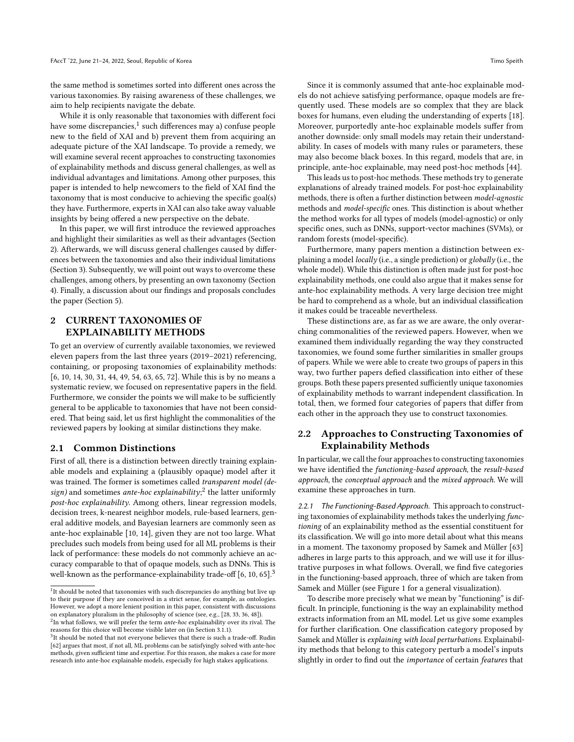the same method is sometimes sorted into different ones across the various taxonomies. By raising awareness of these challenges, we aim to help recipients navigate the debate.

While it is only reasonable that taxonomies with different foci have some discrepancies. $1$  such differences may a) confuse people new to the field of XAI and b) prevent them from acquiring an adequate picture of the XAI landscape. To provide a remedy, we will examine several recent approaches to constructing taxonomies of explainability methods and discuss general challenges, as well as individual advantages and limitations. Among other purposes, this paper is intended to help newcomers to the field of XAI find the taxonomy that is most conducive to achieving the specific goal(s) they have. Furthermore, experts in XAI can also take away valuable insights by being offered a new perspective on the debate.

In this paper, we will first introduce the reviewed approaches and highlight their similarities as well as their advantages (Section [2\)](#page-1-1). Afterwards, we will discuss general challenges caused by differences between the taxonomies and also their individual limitations (Section [3\)](#page-4-0). Subsequently, we will point out ways to overcome these challenges, among others, by presenting an own taxonomy (Section [4\)](#page-6-0). Finally, a discussion about our findings and proposals concludes the paper (Section [5\)](#page-8-0).

## <span id="page-1-1"></span>2 CURRENT TAXONOMIES OF EXPLAINABILITY METHODS

To get an overview of currently available taxonomies, we reviewed eleven papers from the last three years (2019–2021) referencing, containing, or proposing taxonomies of explainability methods: [\[6,](#page-10-11) [10,](#page-10-8) [14,](#page-10-12) [30,](#page-10-13) [31,](#page-10-14) [44,](#page-11-2) [49,](#page-11-6) [54,](#page-11-7) [63,](#page-11-9) [65,](#page-11-10) [72\]](#page-11-8). While this is by no means a systematic review, we focused on representative papers in the field. Furthermore, we consider the points we will make to be sufficiently general to be applicable to taxonomies that have not been considered. That being said, let us first highlight the commonalities of the reviewed papers by looking at similar distinctions they make.

#### 2.1 Common Distinctions

First of all, there is a distinction between directly training explainable models and explaining a (plausibly opaque) model after it was trained. The former is sometimes called transparent model (de-sign) and sometimes ante-hoc explainability;<sup>[2](#page-1-2)</sup> the latter uniformly post-hoc explainability. Among others, linear regression models, decision trees, k-nearest neighbor models, rule-based learners, general additive models, and Bayesian learners are commonly seen as ante-hoc explainable [\[10,](#page-10-8) [14\]](#page-10-12), given they are not too large. What precludes such models from being used for all ML problems is their lack of performance: these models do not commonly achieve an accuracy comparable to that of opaque models, such as DNNs. This is well-known as the performance-explainability trade-off  $[6, 10, 65]$  $[6, 10, 65]$  $[6, 10, 65]$  $[6, 10, 65]$  $[6, 10, 65]$ .<sup>[3](#page-1-3)</sup>

Since it is commonly assumed that ante-hoc explainable models do not achieve satisfying performance, opaque models are frequently used. These models are so complex that they are black boxes for humans, even eluding the understanding of experts [\[18\]](#page-10-2). Moreover, purportedly ante-hoc explainable models suffer from another downside: only small models may retain their understandability. In cases of models with many rules or parameters, these may also become black boxes. In this regard, models that are, in principle, ante-hoc explainable, may need post-hoc methods [\[44\]](#page-11-2).

This leads us to post-hoc methods. These methods try to generate explanations of already trained models. For post-hoc explainability methods, there is often a further distinction between model-agnostic methods and model-specific ones. This distinction is about whether the method works for all types of models (model-agnostic) or only specific ones, such as DNNs, support-vector machines (SVMs), or random forests (model-specific).

Furthermore, many papers mention a distinction between explaining a model *locally* (i.e., a single prediction) or  $globally$  (i.e., the whole model). While this distinction is often made just for post-hoc explainability methods, one could also argue that it makes sense for ante-hoc explainability methods. A very large decision tree might be hard to comprehend as a whole, but an individual classification it makes could be traceable nevertheless.

These distinctions are, as far as we are aware, the only overarching commonalities of the reviewed papers. However, when we examined them individually regarding the way they constructed taxonomies, we found some further similarities in smaller groups of papers. While we were able to create two groups of papers in this way, two further papers defied classification into either of these groups. Both these papers presented sufficiently unique taxonomies of explainability methods to warrant independent classification. In total, then, we formed four categories of papers that differ from each other in the approach they use to construct taxonomies.

### 2.2 Approaches to Constructing Taxonomies of Explainability Methods

In particular, we call the four approaches to constructing taxonomies we have identified the functioning-based approach, the result-based approach, the conceptual approach and the mixed approach. We will examine these approaches in turn.

2.2.1 The Functioning-Based Approach. This approach to constructing taxonomies of explainability methods takes the underlying functioning of an explainability method as the essential constituent for its classification. We will go into more detail about what this means in a moment. The taxonomy proposed by Samek and Müller [\[63\]](#page-11-9) adheres in large parts to this approach, and we will use it for illustrative purposes in what follows. Overall, we find five categories in the functioning-based approach, three of which are taken from Samek and Müller (see Figure [1](#page-2-0) for a general visualization).

To describe more precisely what we mean by "functioning" is difficult. In principle, functioning is the way an explainability method extracts information from an ML model. Let us give some examples for further clarification. One classification category proposed by Samek and Müller is explaining with local perturbations. Explainability methods that belong to this category perturb a model's inputs slightly in order to find out the importance of certain features that

<span id="page-1-0"></span><sup>&</sup>lt;sup>1</sup>It should be noted that taxonomies with such discrepancies do anything but live up to their purpose if they are conceived in a strict sense, for example, as ontologies. However, we adopt a more lenient position in this paper, consistent with discussions on explanatory pluralism in the philosophy of science (see, e.g., [\[28,](#page-10-15) [33,](#page-10-16) [36,](#page-10-17) [48\]](#page-11-11)).<br><sup>2</sup>In what follows, we will prefer the term *ante-hoc* explainability over its rival. The

<span id="page-1-2"></span>reasons for this choice will become visible later on (in Section [3.1.1\)](#page-4-1).

<span id="page-1-3"></span> $3$ It should be noted that not everyone believes that there is such a trade-off. Rudin [\[62\]](#page-11-12) argues that most, if not all, ML problems can be satisfyingly solved with ante-hoc methods, given sufficient time and expertise. For this reason, she makes a case for more research into ante-hoc explainable models, especially for high stakes applications.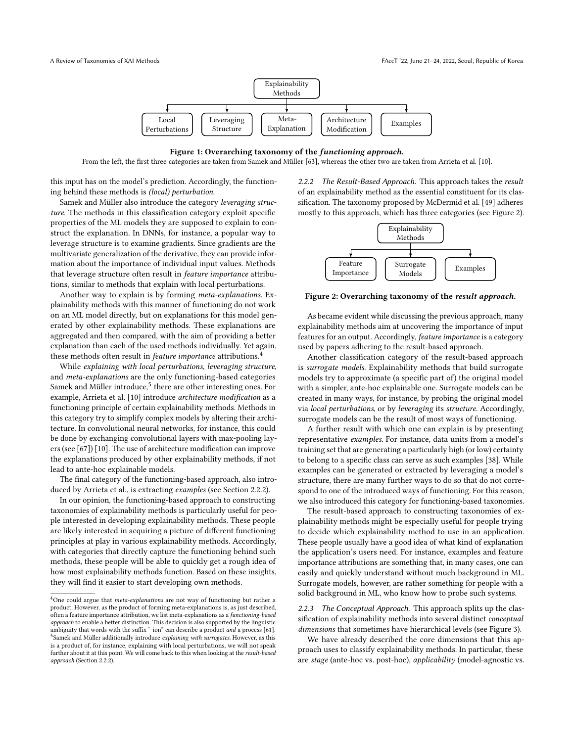<span id="page-2-0"></span>

Figure 1: Overarching taxonomy of the functioning approach.

From the left, the first three categories are taken from Samek and Müller [\[63\]](#page-11-9), whereas the other two are taken from Arrieta et al. [\[10\]](#page-10-8).

this input has on the model's prediction. Accordingly, the functioning behind these methods is (local) perturbation.

Samek and Müller also introduce the category leveraging structure. The methods in this classification category exploit specific properties of the ML models they are supposed to explain to construct the explanation. In DNNs, for instance, a popular way to leverage structure is to examine gradients. Since gradients are the multivariate generalization of the derivative, they can provide information about the importance of individual input values. Methods that leverage structure often result in feature importance attributions, similar to methods that explain with local perturbations.

Another way to explain is by forming meta-explanations. Explainability methods with this manner of functioning do not work on an ML model directly, but on explanations for this model generated by other explainability methods. These explanations are aggregated and then compared, with the aim of providing a better explanation than each of the used methods individually. Yet again, these methods often result in *feature importance* attributions.<sup>[4](#page-2-1)</sup>

While explaining with local perturbations, leveraging structure, and meta-explanations are the only functioning-based categories Samek and Müller introduce.<sup>[5](#page-2-2)</sup> there are other interesting ones. For example, Arrieta et al. [\[10\]](#page-10-8) introduce architecture modification as a functioning principle of certain explainability methods. Methods in this category try to simplify complex models by altering their architecture. In convolutional neural networks, for instance, this could be done by exchanging convolutional layers with max-pooling layers (see [\[67\]](#page-11-13)) [\[10\]](#page-10-8). The use of architecture modification can improve the explanations produced by other explainability methods, if not lead to ante-hoc explainable models.

The final category of the functioning-based approach, also introduced by Arrieta et al., is extracting examples (see Section [2.2.2\)](#page-2-3).

In our opinion, the functioning-based approach to constructing taxonomies of explainability methods is particularly useful for people interested in developing explainability methods. These people are likely interested in acquiring a picture of different functioning principles at play in various explainability methods. Accordingly, with categories that directly capture the functioning behind such methods, these people will be able to quickly get a rough idea of how most explainability methods function. Based on these insights, they will find it easier to start developing own methods.

<span id="page-2-3"></span>2.2.2 The Result-Based Approach. This approach takes the result of an explainability method as the essential constituent for its classification. The taxonomy proposed by McDermid et al. [\[49\]](#page-11-6) adheres mostly to this approach, which has three categories (see Figure [2\)](#page-2-4).

<span id="page-2-4"></span>

Figure 2: Overarching taxonomy of the result approach.

As became evident while discussing the previous approach, many explainability methods aim at uncovering the importance of input features for an output. Accordingly, feature importance is a category used by papers adhering to the result-based approach.

Another classification category of the result-based approach is surrogate models. Explainability methods that build surrogate models try to approximate (a specific part of) the original model with a simpler, ante-hoc explainable one. Surrogate models can be created in many ways, for instance, by probing the original model via local perturbations, or by leveraging its structure. Accordingly, surrogate models can be the result of most ways of functioning.

A further result with which one can explain is by presenting representative examples. For instance, data units from a model's training set that are generating a particularly high (or low) certainty to belong to a specific class can serve as such examples [\[38\]](#page-10-18). While examples can be generated or extracted by leveraging a model's structure, there are many further ways to do so that do not correspond to one of the introduced ways of functioning. For this reason, we also introduced this category for functioning-based taxonomies.

The result-based approach to constructing taxonomies of explainability methods might be especially useful for people trying to decide which explainability method to use in an application. These people usually have a good idea of what kind of explanation the application's users need. For instance, examples and feature importance attributions are something that, in many cases, one can easily and quickly understand without much background in ML. Surrogate models, however, are rather something for people with a solid background in ML, who know how to probe such systems.

2.2.3 The Conceptual Approach. This approach splits up the classification of explainability methods into several distinct conceptual dimensions that sometimes have hierarchical levels (see Figure [3\)](#page-3-0).

We have already described the core dimensions that this approach uses to classify explainability methods. In particular, these are stage (ante-hoc vs. post-hoc), applicability (model-agnostic vs.

<span id="page-2-2"></span><span id="page-2-1"></span><sup>&</sup>lt;sup>4</sup>One could argue that *meta-explanations* are not way of functioning but rather a product. However, as the product of forming meta-explanations is, as just described, often a feature importance attribution, we list meta-explanations as a functioning-based approach to enable a better distinction. This decision is also supported by the linguistic ambiguity that words with the suffix "-ion" can describe a product and a process [\[61\]](#page-11-14). <sup>5</sup>Samek and Müller additionally introduce explaining with surrogates. However, as this is a product of, for instance, explaining with local perturbations, we will not speak further about it at this point. We will come back to this when looking at the result-based approach (Section [2.2.2\)](#page-2-3).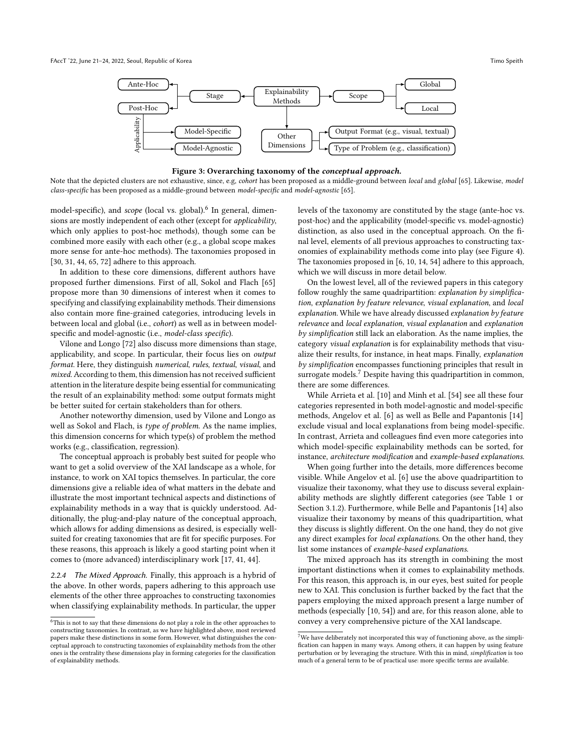<span id="page-3-0"></span>

#### Figure 3: Overarching taxonomy of the conceptual approach.

Note that the depicted clusters are not exhaustive, since, e.g, cohort has been proposed as a middle-ground between local and global [\[65\]](#page-11-10). Likewise, model class-specific has been proposed as a middle-ground between model-specific and model-agnostic [\[65\]](#page-11-10).

model-specific), and *scope* (local vs. global).<sup>[6](#page-3-1)</sup> In general, dimensions are mostly independent of each other (except for applicability, which only applies to post-hoc methods), though some can be combined more easily with each other (e.g., a global scope makes more sense for ante-hoc methods). The taxonomies proposed in [\[30,](#page-10-13) [31,](#page-10-14) [44,](#page-11-2) [65,](#page-11-10) [72\]](#page-11-8) adhere to this approach.

In addition to these core dimensions, different authors have proposed further dimensions. First of all, Sokol and Flach [\[65\]](#page-11-10) propose more than 30 dimensions of interest when it comes to specifying and classifying explainability methods. Their dimensions also contain more fine-grained categories, introducing levels in between local and global (i.e., cohort) as well as in between modelspecific and model-agnostic (i.e., model-class specific).

Vilone and Longo [\[72\]](#page-11-8) also discuss more dimensions than stage, applicability, and scope. In particular, their focus lies on output format. Here, they distinguish numerical, rules, textual, visual, and mixed. According to them, this dimension has not received sufficient attention in the literature despite being essential for communicating the result of an explainability method: some output formats might be better suited for certain stakeholders than for others.

Another noteworthy dimension, used by Vilone and Longo as well as Sokol and Flach, is type of problem. As the name implies, this dimension concerns for which type(s) of problem the method works (e.g., classification, regression).

The conceptual approach is probably best suited for people who want to get a solid overview of the XAI landscape as a whole, for instance, to work on XAI topics themselves. In particular, the core dimensions give a reliable idea of what matters in the debate and illustrate the most important technical aspects and distinctions of explainability methods in a way that is quickly understood. Additionally, the plug-and-play nature of the conceptual approach, which allows for adding dimensions as desired, is especially wellsuited for creating taxonomies that are fit for specific purposes. For these reasons, this approach is likely a good starting point when it comes to (more advanced) interdisciplinary work [\[17,](#page-10-19) [41,](#page-11-4) [44\]](#page-11-2).

<span id="page-3-3"></span>2.2.4 The Mixed Approach. Finally, this approach is a hybrid of the above. In other words, papers adhering to this approach use elements of the other three approaches to constructing taxonomies when classifying explainability methods. In particular, the upper

levels of the taxonomy are constituted by the stage (ante-hoc vs. post-hoc) and the applicability (model-specific vs. model-agnostic) distinction, as also used in the conceptual approach. On the final level, elements of all previous approaches to constructing taxonomies of explainability methods come into play (see Figure [4\)](#page-4-2). The taxonomies proposed in [\[6,](#page-10-11) [10,](#page-10-8) [14,](#page-10-12) [54\]](#page-11-7) adhere to this approach, which we will discuss in more detail below.

On the lowest level, all of the reviewed papers in this category follow roughly the same quadripartition: explanation by simplification, explanation by feature relevance, visual explanation, and local explanation. While we have already discussed explanation by feature relevance and local explanation, visual explanation and explanation by simplification still lack an elaboration. As the name implies, the category visual explanation is for explainability methods that visualize their results, for instance, in heat maps. Finally, explanation by simplification encompasses functioning principles that result in surrogate models.<sup>[7](#page-3-2)</sup> Despite having this quadripartition in common, there are some differences.

While Arrieta et al. [\[10\]](#page-10-8) and Minh et al. [\[54\]](#page-11-7) see all these four categories represented in both model-agnostic and model-specific methods, Angelov et al. [\[6\]](#page-10-11) as well as Belle and Papantonis [\[14\]](#page-10-12) exclude visual and local explanations from being model-specific. In contrast, Arrieta and colleagues find even more categories into which model-specific explainability methods can be sorted, for instance, architecture modification and example-based explanations.

When going further into the details, more differences become visible. While Angelov et al. [\[6\]](#page-10-11) use the above quadripartition to visualize their taxonomy, what they use to discuss several explainability methods are slightly different categories (see Table [1](#page-5-0) or Section [3.1.2\)](#page-4-3). Furthermore, while Belle and Papantonis [\[14\]](#page-10-12) also visualize their taxonomy by means of this quadripartition, what they discuss is slightly different. On the one hand, they do not give any direct examples for local explanations. On the other hand, they list some instances of example-based explanations.

The mixed approach has its strength in combining the most important distinctions when it comes to explainability methods. For this reason, this approach is, in our eyes, best suited for people new to XAI. This conclusion is further backed by the fact that the papers employing the mixed approach present a large number of methods (especially [\[10,](#page-10-8) [54\]](#page-11-7)) and are, for this reason alone, able to convey a very comprehensive picture of the XAI landscape.

<span id="page-3-1"></span> $^6\!$  This is not to say that these dimensions do not play a role in the other approaches to constructing taxonomies. In contrast, as we have highlighted above, most reviewed papers make these distinctions in some form. However, what distinguishes the conceptual approach to constructing taxonomies of explainability methods from the other ones is the centrality these dimensions play in forming categories for the classification of explainability methods.

<span id="page-3-2"></span> $^7\!$  We have deliberately not incorporated this way of functioning above, as the simplification can happen in many ways. Among others, it can happen by using feature perturbation or by leveraging the structure. With this in mind, simplification is too much of a general term to be of practical use: more specific terms are available.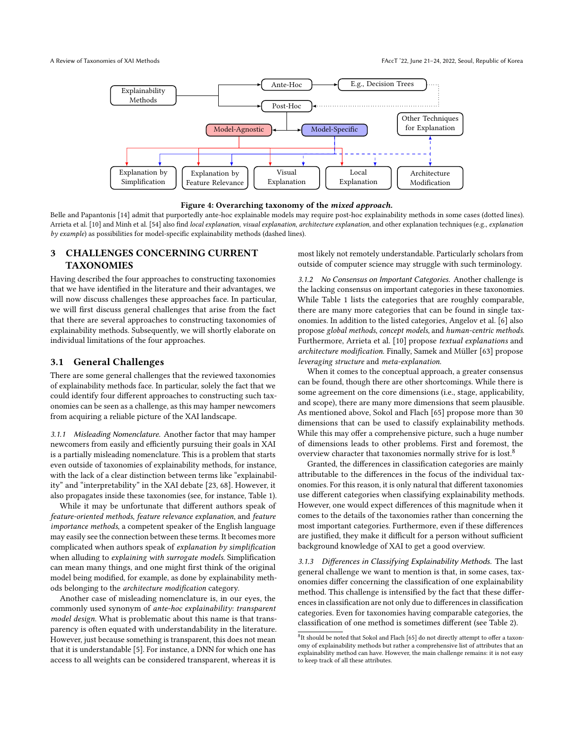<span id="page-4-2"></span>



Belle and Papantonis [\[14\]](#page-10-12) admit that purportedly ante-hoc explainable models may require post-hoc explainability methods in some cases (dotted lines). Arrieta et al. [\[10\]](#page-10-8) and Minh et al. [\[54\]](#page-11-7) also find local explanation, visual explanation, architecture explanation, and other explanation techniques (e.g., explanation by example) as possibilities for model-specific explainability methods (dashed lines).

## <span id="page-4-0"></span>3 CHALLENGES CONCERNING CURRENT **TAXONOMIES**

Having described the four approaches to constructing taxonomies that we have identified in the literature and their advantages, we will now discuss challenges these approaches face. In particular, we will first discuss general challenges that arise from the fact that there are several approaches to constructing taxonomies of explainability methods. Subsequently, we will shortly elaborate on individual limitations of the four approaches.

#### 3.1 General Challenges

There are some general challenges that the reviewed taxonomies of explainability methods face. In particular, solely the fact that we could identify four different approaches to constructing such taxonomies can be seen as a challenge, as this may hamper newcomers from acquiring a reliable picture of the XAI landscape.

<span id="page-4-1"></span>3.1.1 Misleading Nomenclature. Another factor that may hamper newcomers from easily and efficiently pursuing their goals in XAI is a partially misleading nomenclature. This is a problem that starts even outside of taxonomies of explainability methods, for instance, with the lack of a clear distinction between terms like "explainability" and "interpretability" in the XAI debate [\[23,](#page-10-20) [68\]](#page-11-15). However, it also propagates inside these taxonomies (see, for instance, Table [1\)](#page-5-0).

While it may be unfortunate that different authors speak of feature-oriented methods, feature relevance explanation, and feature importance methods, a competent speaker of the English language may easily see the connection between these terms. It becomes more complicated when authors speak of explanation by simplification when alluding to explaining with surrogate models. Simplification can mean many things, and one might first think of the original model being modified, for example, as done by explainability methods belonging to the architecture modification category.

Another case of misleading nomenclature is, in our eyes, the commonly used synonym of ante-hoc explainability: transparent model design. What is problematic about this name is that transparency is often equated with understandability in the literature. However, just because something is transparent, this does not mean that it is understandable [\[5\]](#page-10-21). For instance, a DNN for which one has access to all weights can be considered transparent, whereas it is

most likely not remotely understandable. Particularly scholars from outside of computer science may struggle with such terminology.

<span id="page-4-3"></span>3.1.2 No Consensus on Important Categories. Another challenge is the lacking consensus on important categories in these taxonomies. While Table [1](#page-5-0) lists the categories that are roughly comparable, there are many more categories that can be found in single taxonomies. In addition to the listed categories, Angelov et al. [\[6\]](#page-10-11) also propose global methods, concept models, and human-centric methods. Furthermore, Arrieta et al. [\[10\]](#page-10-8) propose textual explanations and architecture modification. Finally, Samek and Müller [\[63\]](#page-11-9) propose leveraging structure and meta-explanation.

When it comes to the conceptual approach, a greater consensus can be found, though there are other shortcomings. While there is some agreement on the core dimensions (i.e., stage, applicability, and scope), there are many more dimensions that seem plausible. As mentioned above, Sokol and Flach [\[65\]](#page-11-10) propose more than 30 dimensions that can be used to classify explainability methods. While this may offer a comprehensive picture, such a huge number of dimensions leads to other problems. First and foremost, the overview character that taxonomies normally strive for is lost.[8](#page-4-4)

Granted, the differences in classification categories are mainly attributable to the differences in the focus of the individual taxonomies. For this reason, it is only natural that different taxonomies use different categories when classifying explainability methods. However, one would expect differences of this magnitude when it comes to the details of the taxonomies rather than concerning the most important categories. Furthermore, even if these differences are justified, they make it difficult for a person without sufficient background knowledge of XAI to get a good overview.

3.1.3 Differences in Classifying Explainability Methods. The last general challenge we want to mention is that, in some cases, taxonomies differ concerning the classification of one explainability method. This challenge is intensified by the fact that these differences in classification are not only due to differences in classification categories. Even for taxonomies having comparable categories, the classification of one method is sometimes different (see Table [2\)](#page-6-1).

<span id="page-4-4"></span><sup>&</sup>lt;sup>8</sup>It should be noted that Sokol and Flach [\[65\]](#page-11-10) do not directly attempt to offer a taxonomy of explainability methods but rather a comprehensive list of attributes that an explainability method can have. However, the main challenge remains: it is not easy to keep track of all these attributes.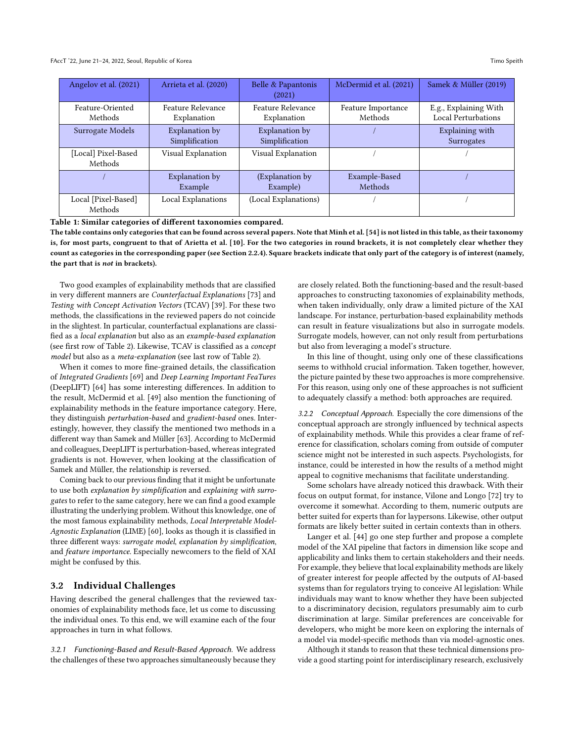<span id="page-5-0"></span>

| Angelov et al. (2021)          | Arrieta et al. (2020)            | Belle & Papantonis<br>(2021)     | McDermid et al. (2021)        | Samek & Müller (2019)                        |
|--------------------------------|----------------------------------|----------------------------------|-------------------------------|----------------------------------------------|
| Feature-Oriented<br>Methods    | Feature Relevance<br>Explanation | Feature Relevance<br>Explanation | Feature Importance<br>Methods | E.g., Explaining With<br>Local Perturbations |
| Surrogate Models               | Explanation by<br>Simplification | Explanation by<br>Simplification |                               | Explaining with<br>Surrogates                |
| [Local] Pixel-Based<br>Methods | Visual Explanation               | Visual Explanation               |                               |                                              |
|                                | Explanation by<br>Example        | (Explanation by)<br>Example)     | Example-Based<br>Methods      |                                              |
| Local [Pixel-Based]<br>Methods | Local Explanations               | (Local Explanations)             |                               |                                              |

Table 1: Similar categories of different taxonomies compared.

The table contains only categories that can be found across several papers. Note that Minh et al. [\[54\]](#page-11-7) is not listed in this table, as their taxonomy is, for most parts, congruent to that of Arietta et al. [\[10\]](#page-10-8). For the two categories in round brackets, it is not completely clear whether they count as categories in the corresponding paper (see Section [2.2.4\)](#page-3-3). Square brackets indicate that only part of the category is of interest (namely, the part that is not in brackets).

Two good examples of explainability methods that are classified in very different manners are Counterfactual Explanations [\[73\]](#page-11-16) and Testing with Concept Activation Vectors (TCAV) [\[39\]](#page-10-22). For these two methods, the classifications in the reviewed papers do not coincide in the slightest. In particular, counterfactual explanations are classified as a local explanation but also as an example-based explanation (see first row of Table [2\)](#page-6-1). Likewise, TCAV is classified as a concept model but also as a meta-explanation (see last row of Table [2\)](#page-6-1).

When it comes to more fine-grained details, the classification of Integrated Gradients [\[69\]](#page-11-17) and Deep Learning Important FeaTures (DeepLIFT) [\[64\]](#page-11-18) has some interesting differences. In addition to the result, McDermid et al. [\[49\]](#page-11-6) also mention the functioning of explainability methods in the feature importance category. Here, they distinguish perturbation-based and gradient-based ones. Interestingly, however, they classify the mentioned two methods in a different way than Samek and Müller [\[63\]](#page-11-9). According to McDermid and colleagues, DeepLIFT is perturbation-based, whereas integrated gradients is not. However, when looking at the classification of Samek and Müller, the relationship is reversed.

Coming back to our previous finding that it might be unfortunate to use both explanation by simplification and explaining with surrogates to refer to the same category, here we can find a good example illustrating the underlying problem. Without this knowledge, one of the most famous explainability methods, Local Interpretable Model-Agnostic Explanation (LIME) [\[60\]](#page-11-19), looks as though it is classified in three different ways: surrogate model, explanation by simplification, and feature importance. Especially newcomers to the field of XAI might be confused by this.

#### 3.2 Individual Challenges

Having described the general challenges that the reviewed taxonomies of explainability methods face, let us come to discussing the individual ones. To this end, we will examine each of the four approaches in turn in what follows.

3.2.1 Functioning-Based and Result-Based Approach. We address the challenges of these two approaches simultaneously because they are closely related. Both the functioning-based and the result-based approaches to constructing taxonomies of explainability methods, when taken individually, only draw a limited picture of the XAI landscape. For instance, perturbation-based explainability methods can result in feature visualizations but also in surrogate models. Surrogate models, however, can not only result from perturbations but also from leveraging a model's structure.

In this line of thought, using only one of these classifications seems to withhold crucial information. Taken together, however, the picture painted by these two approaches is more comprehensive. For this reason, using only one of these approaches is not sufficient to adequately classify a method: both approaches are required.

3.2.2 Conceptual Approach. Especially the core dimensions of the conceptual approach are strongly influenced by technical aspects of explainability methods. While this provides a clear frame of reference for classification, scholars coming from outside of computer science might not be interested in such aspects. Psychologists, for instance, could be interested in how the results of a method might appeal to cognitive mechanisms that facilitate understanding.

Some scholars have already noticed this drawback. With their focus on output format, for instance, Vilone and Longo [\[72\]](#page-11-8) try to overcome it somewhat. According to them, numeric outputs are better suited for experts than for laypersons. Likewise, other output formats are likely better suited in certain contexts than in others.

Langer et al. [\[44\]](#page-11-2) go one step further and propose a complete model of the XAI pipeline that factors in dimension like scope and applicability and links them to certain stakeholders and their needs. For example, they believe that local explainability methods are likely of greater interest for people affected by the outputs of AI-based systems than for regulators trying to conceive AI legislation: While individuals may want to know whether they have been subjected to a discriminatory decision, regulators presumably aim to curb discrimination at large. Similar preferences are conceivable for developers, who might be more keen on exploring the internals of a model via model-specific methods than via model-agnostic ones.

Although it stands to reason that these technical dimensions provide a good starting point for interdisciplinary research, exclusively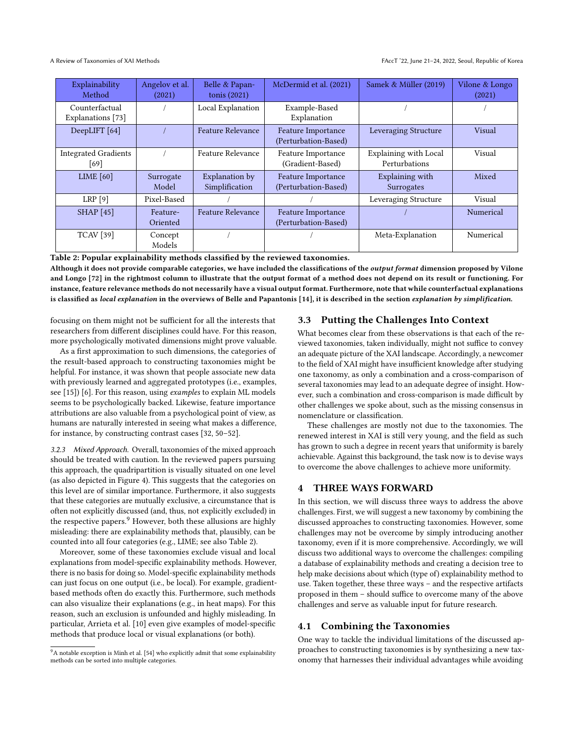<span id="page-6-1"></span>

| Explainability<br>Method            | Angelov et al.<br>(2021) | Belle & Papan-<br>tonis $(2021)$ | McDermid et al. (2021)                     | Samek & Müller (2019)                         | Vilone & Longo<br>(2021) |
|-------------------------------------|--------------------------|----------------------------------|--------------------------------------------|-----------------------------------------------|--------------------------|
| Counterfactual<br>Explanations [73] |                          | Local Explanation                | Example-Based<br>Explanation               |                                               |                          |
| DeepLIFT [64]                       |                          | Feature Relevance                | Feature Importance<br>(Perturbation-Based) | Leveraging Structure                          | Visual                   |
| <b>Integrated Gradients</b><br>[69] |                          | <b>Feature Relevance</b>         | Feature Importance<br>(Gradient-Based)     | <b>Explaining with Local</b><br>Perturbations | Visual                   |
| LIME $[60]$                         | Surrogate<br>Model       | Explanation by<br>Simplification | Feature Importance<br>(Perturbation-Based) | Explaining with<br>Surrogates                 | Mixed                    |
| LRP[9]                              | Pixel-Based              |                                  |                                            | Leveraging Structure                          | Visual                   |
| <b>SHAP</b> [45]                    | Feature-<br>Oriented     | <b>Feature Relevance</b>         | Feature Importance<br>(Perturbation-Based) |                                               | Numerical                |
| <b>TCAV</b> [39]                    | Concept<br>Models        |                                  |                                            | Meta-Explanation                              | Numerical                |

Table 2: Popular explainability methods classified by the reviewed taxonomies.

Although it does not provide comparable categories, we have included the classifications of the *output format* dimension proposed by Vilone and Longo [\[72\]](#page-11-8) in the rightmost column to illustrate that the output format of a method does not depend on its result or functioning. For instance, feature relevance methods do not necessarily have a visual output format. Furthermore, note that while counterfactual explanations is classified as local explanation in the overviews of Belle and Papantonis [\[14\]](#page-10-12), it is described in the section explanation by simplification.

focusing on them might not be sufficient for all the interests that researchers from different disciplines could have. For this reason, more psychologically motivated dimensions might prove valuable.

As a first approximation to such dimensions, the categories of the result-based approach to constructing taxonomies might be helpful. For instance, it was shown that people associate new data with previously learned and aggregated prototypes (i.e., examples, see [\[15\]](#page-10-24)) [\[6\]](#page-10-11). For this reason, using examples to explain ML models seems to be psychologically backed. Likewise, feature importance attributions are also valuable from a psychological point of view, as humans are naturally interested in seeing what makes a difference, for instance, by constructing contrast cases [\[32,](#page-10-25) [50](#page-11-21)[–52\]](#page-11-22).

3.2.3 Mixed Approach. Overall, taxonomies of the mixed approach should be treated with caution. In the reviewed papers pursuing this approach, the quadripartition is visually situated on one level (as also depicted in Figure [4\)](#page-4-2). This suggests that the categories on this level are of similar importance. Furthermore, it also suggests that these categories are mutually exclusive, a circumstance that is often not explicitly discussed (and, thus, not explicitly excluded) in the respective papers.<sup>[9](#page-6-2)</sup> However, both these allusions are highly misleading: there are explainability methods that, plausibly, can be counted into all four categories (e.g., LIME; see also Table [2\)](#page-6-1).

Moreover, some of these taxonomies exclude visual and local explanations from model-specific explainability methods. However, there is no basis for doing so. Model-specific explainability methods can just focus on one output (i.e., be local). For example, gradientbased methods often do exactly this. Furthermore, such methods can also visualize their explanations (e.g., in heat maps). For this reason, such an exclusion is unfounded and highly misleading. In particular, Arrieta et al. [\[10\]](#page-10-8) even give examples of model-specific methods that produce local or visual explanations (or both).

## 3.3 Putting the Challenges Into Context

What becomes clear from these observations is that each of the reviewed taxonomies, taken individually, might not suffice to convey an adequate picture of the XAI landscape. Accordingly, a newcomer to the field of XAI might have insufficient knowledge after studying one taxonomy, as only a combination and a cross-comparison of several taxonomies may lead to an adequate degree of insight. However, such a combination and cross-comparison is made difficult by other challenges we spoke about, such as the missing consensus in nomenclature or classification.

These challenges are mostly not due to the taxonomies. The renewed interest in XAI is still very young, and the field as such has grown to such a degree in recent years that uniformity is barely achievable. Against this background, the task now is to devise ways to overcome the above challenges to achieve more uniformity.

## <span id="page-6-0"></span>4 THREE WAYS FORWARD

In this section, we will discuss three ways to address the above challenges. First, we will suggest a new taxonomy by combining the discussed approaches to constructing taxonomies. However, some challenges may not be overcome by simply introducing another taxonomy, even if it is more comprehensive. Accordingly, we will discuss two additional ways to overcome the challenges: compiling a database of explainability methods and creating a decision tree to help make decisions about which (type of) explainability method to use. Taken together, these three ways – and the respective artifacts proposed in them – should suffice to overcome many of the above challenges and serve as valuable input for future research.

## 4.1 Combining the Taxonomies

One way to tackle the individual limitations of the discussed approaches to constructing taxonomies is by synthesizing a new taxonomy that harnesses their individual advantages while avoiding

<span id="page-6-2"></span> $9A$  notable exception is Minh et al. [\[54\]](#page-11-7) who explicitly admit that some explainability methods can be sorted into multiple categories.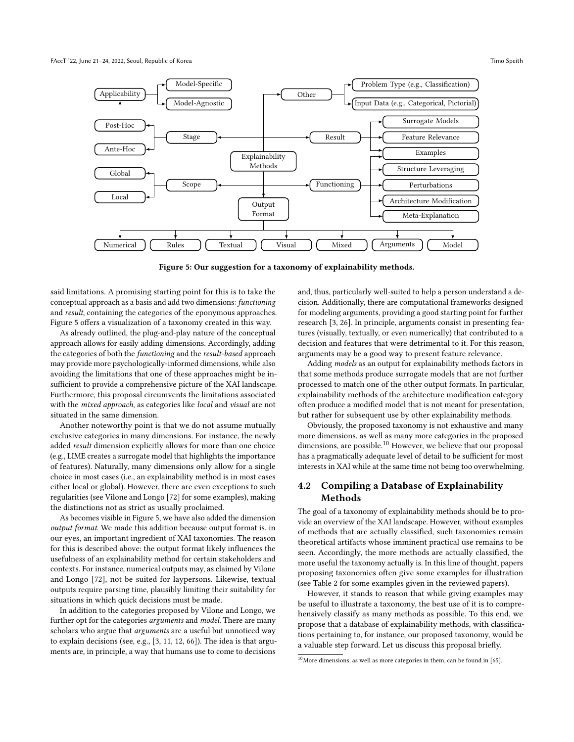<span id="page-7-0"></span>

Figure 5: Our suggestion for a taxonomy of explainability methods.

said limitations. A promising starting point for this is to take the conceptual approach as a basis and add two dimensions: functioning and result, containing the categories of the eponymous approaches. Figure [5](#page-7-0) offers a visualization of a taxonomy created in this way.

As already outlined, the plug-and-play nature of the conceptual approach allows for easily adding dimensions. Accordingly, adding the categories of both the functioning and the result-based approach may provide more psychologically-informed dimensions, while also avoiding the limitations that one of these approaches might be insufficient to provide a comprehensive picture of the XAI landscape. Furthermore, this proposal circumvents the limitations associated with the *mixed approach*, as categories like *local* and *visual* are not situated in the same dimension.

Another noteworthy point is that we do not assume mutually exclusive categories in many dimensions. For instance, the newly added result dimension explicitly allows for more than one choice (e.g., LIME creates a surrogate model that highlights the importance of features). Naturally, many dimensions only allow for a single choice in most cases (i.e., an explainability method is in most cases either local or global). However, there are even exceptions to such regularities (see Vilone and Longo [\[72\]](#page-11-8) for some examples), making the distinctions not as strict as usually proclaimed.

As becomes visible in Figure [5,](#page-7-0) we have also added the dimension output format. We made this addition because output format is, in our eyes, an important ingredient of XAI taxonomies. The reason for this is described above: the output format likely influences the usefulness of an explainability method for certain stakeholders and contexts. For instance, numerical outputs may, as claimed by Vilone and Longo [\[72\]](#page-11-8), not be suited for laypersons. Likewise, textual outputs require parsing time, plausibly limiting their suitability for situations in which quick decisions must be made.

In addition to the categories proposed by Vilone and Longo, we further opt for the categories arguments and model. There are many scholars who argue that arguments are a useful but unnoticed way to explain decisions (see, e.g., [\[3,](#page-9-0) [11,](#page-10-26) [12,](#page-10-27) [66\]](#page-11-23)). The idea is that arguments are, in principle, a way that humans use to come to decisions

and, thus, particularly well-suited to help a person understand a decision. Additionally, there are computational frameworks designed for modeling arguments, providing a good starting point for further research [\[3,](#page-9-0) [26\]](#page-10-28). In principle, arguments consist in presenting features (visually, textually, or even numerically) that contributed to a decision and features that were detrimental to it. For this reason, arguments may be a good way to present feature relevance.

Adding models as an output for explainability methods factors in that some methods produce surrogate models that are not further processed to match one of the other output formats. In particular, explainability methods of the architecture modification category often produce a modified model that is not meant for presentation, but rather for subsequent use by other explainability methods.

Obviously, the proposed taxonomy is not exhaustive and many more dimensions, as well as many more categories in the proposed dimensions, are possible.<sup>[10](#page-7-1)</sup> However, we believe that our proposal has a pragmatically adequate level of detail to be sufficient for most interests in XAI while at the same time not being too overwhelming.

## 4.2 Compiling a Database of Explainability **Methods**

The goal of a taxonomy of explainability methods should be to provide an overview of the XAI landscape. However, without examples of methods that are actually classified, such taxonomies remain theoretical artifacts whose imminent practical use remains to be seen. Accordingly, the more methods are actually classified, the more useful the taxonomy actually is. In this line of thought, papers proposing taxonomies often give some examples for illustration (see Table [2](#page-6-1) for some examples given in the reviewed papers).

However, it stands to reason that while giving examples may be useful to illustrate a taxonomy, the best use of it is to comprehensively classify as many methods as possible. To this end, we propose that a database of explainability methods, with classifications pertaining to, for instance, our proposed taxonomy, would be a valuable step forward. Let us discuss this proposal briefly.

<span id="page-7-1"></span> $10$ More dimensions, as well as more categories in them, can be found in [\[65\]](#page-11-10).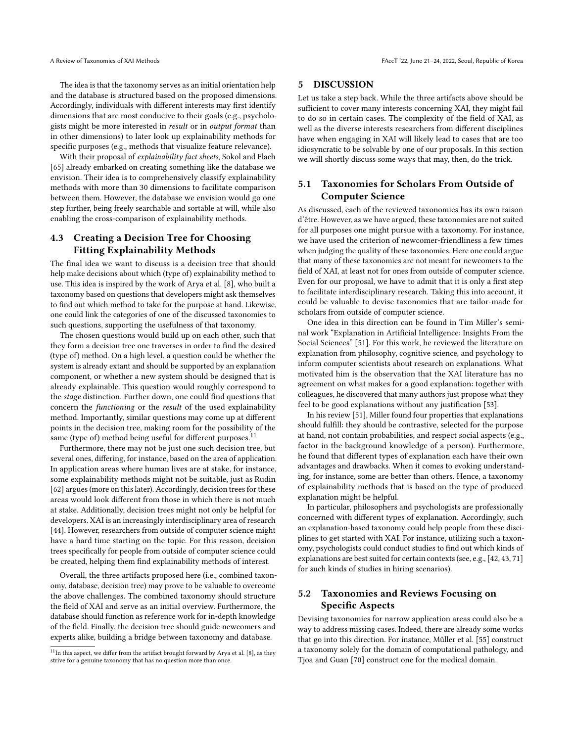The idea is that the taxonomy serves as an initial orientation help and the database is structured based on the proposed dimensions. Accordingly, individuals with different interests may first identify dimensions that are most conducive to their goals (e.g., psychologists might be more interested in result or in output format than in other dimensions) to later look up explainability methods for specific purposes (e.g., methods that visualize feature relevance).

With their proposal of explainability fact sheets, Sokol and Flach [\[65\]](#page-11-10) already embarked on creating something like the database we envision. Their idea is to comprehensively classify explainability methods with more than 30 dimensions to facilitate comparison between them. However, the database we envision would go one step further, being freely searchable and sortable at will, while also enabling the cross-comparison of explainability methods.

# 4.3 Creating a Decision Tree for Choosing Fitting Explainability Methods

The final idea we want to discuss is a decision tree that should help make decisions about which (type of) explainability method to use. This idea is inspired by the work of Arya et al. [\[8\]](#page-10-29), who built a taxonomy based on questions that developers might ask themselves to find out which method to take for the purpose at hand. Likewise, one could link the categories of one of the discussed taxonomies to such questions, supporting the usefulness of that taxonomy.

The chosen questions would build up on each other, such that they form a decision tree one traverses in order to find the desired (type of) method. On a high level, a question could be whether the system is already extant and should be supported by an explanation component, or whether a new system should be designed that is already explainable. This question would roughly correspond to the stage distinction. Further down, one could find questions that concern the functioning or the result of the used explainability method. Importantly, similar questions may come up at different points in the decision tree, making room for the possibility of the same (type of) method being useful for different purposes.<sup>[11](#page-8-1)</sup>

Furthermore, there may not be just one such decision tree, but several ones, differing, for instance, based on the area of application. In application areas where human lives are at stake, for instance, some explainability methods might not be suitable, just as Rudin [\[62\]](#page-11-12) argues (more on this later). Accordingly, decision trees for these areas would look different from those in which there is not much at stake. Additionally, decision trees might not only be helpful for developers. XAI is an increasingly interdisciplinary area of research [\[44\]](#page-11-2). However, researchers from outside of computer science might have a hard time starting on the topic. For this reason, decision trees specifically for people from outside of computer science could be created, helping them find explainability methods of interest.

Overall, the three artifacts proposed here (i.e., combined taxonomy, database, decision tree) may prove to be valuable to overcome the above challenges. The combined taxonomy should structure the field of XAI and serve as an initial overview. Furthermore, the database should function as reference work for in-depth knowledge of the field. Finally, the decision tree should guide newcomers and experts alike, building a bridge between taxonomy and database.

## <span id="page-8-0"></span>5 DISCUSSION

Let us take a step back. While the three artifacts above should be sufficient to cover many interests concerning XAI, they might fail to do so in certain cases. The complexity of the field of XAI, as well as the diverse interests researchers from different disciplines have when engaging in XAI will likely lead to cases that are too idiosyncratic to be solvable by one of our proposals. In this section we will shortly discuss some ways that may, then, do the trick.

## 5.1 Taxonomies for Scholars From Outside of Computer Science

As discussed, each of the reviewed taxonomies has its own raison d'être. However, as we have argued, these taxonomies are not suited for all purposes one might pursue with a taxonomy. For instance, we have used the criterion of newcomer-friendliness a few times when judging the quality of these taxonomies. Here one could argue that many of these taxonomies are not meant for newcomers to the field of XAI, at least not for ones from outside of computer science. Even for our proposal, we have to admit that it is only a first step to facilitate interdisciplinary research. Taking this into account, it could be valuable to devise taxonomies that are tailor-made for scholars from outside of computer science.

One idea in this direction can be found in Tim Miller's seminal work "Explanation in Artificial Intelligence: Insights From the Social Sciences" [\[51\]](#page-11-24). For this work, he reviewed the literature on explanation from philosophy, cognitive science, and psychology to inform computer scientists about research on explanations. What motivated him is the observation that the XAI literature has no agreement on what makes for a good explanation: together with colleagues, he discovered that many authors just propose what they feel to be good explanations without any justification [\[53\]](#page-11-25).

In his review [\[51\]](#page-11-24), Miller found four properties that explanations should fulfill: they should be contrastive, selected for the purpose at hand, not contain probabilities, and respect social aspects (e.g., factor in the background knowledge of a person). Furthermore, he found that different types of explanation each have their own advantages and drawbacks. When it comes to evoking understanding, for instance, some are better than others. Hence, a taxonomy of explainability methods that is based on the type of produced explanation might be helpful.

In particular, philosophers and psychologists are professionally concerned with different types of explanation. Accordingly, such an explanation-based taxonomy could help people from these disciplines to get started with XAI. For instance, utilizing such a taxonomy, psychologists could conduct studies to find out which kinds of explanations are best suited for certain contexts (see, e.g., [\[42,](#page-11-26) [43,](#page-11-27) [71\]](#page-11-28) for such kinds of studies in hiring scenarios).

## 5.2 Taxonomies and Reviews Focusing on Specific Aspects

Devising taxonomies for narrow application areas could also be a way to address missing cases. Indeed, there are already some works that go into this direction. For instance, Müller et al. [\[55\]](#page-11-29) construct a taxonomy solely for the domain of computational pathology, and Tjoa and Guan [\[70\]](#page-11-30) construct one for the medical domain.

<span id="page-8-1"></span> $11$ In this aspect, we differ from the artifact brought forward by Arya et al. [\[8\]](#page-10-29), as they strive for a genuine taxonomy that has no question more than once.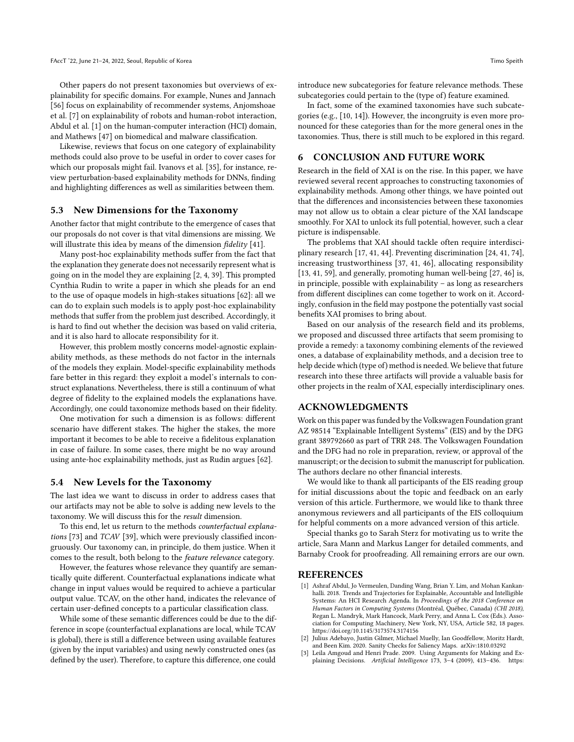Other papers do not present taxonomies but overviews of explainability for specific domains. For example, Nunes and Jannach [\[56\]](#page-11-31) focus on explainability of recommender systems, Anjomshoae et al. [\[7\]](#page-10-30) on explainability of robots and human-robot interaction, Abdul et al. [\[1\]](#page-9-1) on the human-computer interaction (HCI) domain, and Mathews [\[47\]](#page-11-32) on biomedical and malware classification.

Likewise, reviews that focus on one category of explainability methods could also prove to be useful in order to cover cases for which our proposals might fail. Ivanovs et al. [\[35\]](#page-10-31), for instance, review perturbation-based explainability methods for DNNs, finding and highlighting differences as well as similarities between them.

#### 5.3 New Dimensions for the Taxonomy

Another factor that might contribute to the emergence of cases that our proposals do not cover is that vital dimensions are missing. We will illustrate this idea by means of the dimension *fidelity* [\[41\]](#page-11-4).

Many post-hoc explainability methods suffer from the fact that the explanation they generate does not necessarily represent what is going on in the model they are explaining [\[2,](#page-9-2) [4,](#page-10-32) [39\]](#page-10-22). This prompted Cynthia Rudin to write a paper in which she pleads for an end to the use of opaque models in high-stakes situations [\[62\]](#page-11-12): all we can do to explain such models is to apply post-hoc explainability methods that suffer from the problem just described. Accordingly, it is hard to find out whether the decision was based on valid criteria, and it is also hard to allocate responsibility for it.

However, this problem mostly concerns model-agnostic explainability methods, as these methods do not factor in the internals of the models they explain. Model-specific explainability methods fare better in this regard: they exploit a model's internals to construct explanations. Nevertheless, there is still a continuum of what degree of fidelity to the explained models the explanations have. Accordingly, one could taxonomize methods based on their fidelity.

One motivation for such a dimension is as follows: different scenario have different stakes. The higher the stakes, the more important it becomes to be able to receive a fidelitous explanation in case of failure. In some cases, there might be no way around using ante-hoc explainability methods, just as Rudin argues [\[62\]](#page-11-12).

#### 5.4 New Levels for the Taxonomy

The last idea we want to discuss in order to address cases that our artifacts may not be able to solve is adding new levels to the taxonomy. We will discuss this for the result dimension.

To this end, let us return to the methods counterfactual explanations [\[73\]](#page-11-16) and TCAV [\[39\]](#page-10-22), which were previously classified incongruously. Our taxonomy can, in principle, do them justice. When it comes to the result, both belong to the feature relevance category.

However, the features whose relevance they quantify are semantically quite different. Counterfactual explanations indicate what change in input values would be required to achieve a particular output value. TCAV, on the other hand, indicates the relevance of certain user-defined concepts to a particular classification class.

While some of these semantic differences could be due to the difference in scope (counterfactual explanations are local, while TCAV is global), there is still a difference between using available features (given by the input variables) and using newly constructed ones (as defined by the user). Therefore, to capture this difference, one could

introduce new subcategories for feature relevance methods. These subcategories could pertain to the (type of) feature examined.

In fact, some of the examined taxonomies have such subcategories (e.g., [\[10,](#page-10-8) [14\]](#page-10-12)). However, the incongruity is even more pronounced for these categories than for the more general ones in the taxonomies. Thus, there is still much to be explored in this regard.

#### 6 CONCLUSION AND FUTURE WORK

Research in the field of XAI is on the rise. In this paper, we have reviewed several recent approaches to constructing taxonomies of explainability methods. Among other things, we have pointed out that the differences and inconsistencies between these taxonomies may not allow us to obtain a clear picture of the XAI landscape smoothly. For XAI to unlock its full potential, however, such a clear picture is indispensable.

The problems that XAI should tackle often require interdisciplinary research [\[17,](#page-10-19) [41,](#page-11-4) [44\]](#page-11-2). Preventing discrimination [\[24,](#page-10-33) [41,](#page-11-4) [74\]](#page-11-33), increasing trustworthiness [\[37,](#page-10-34) [41,](#page-11-4) [46\]](#page-11-34), allocating responsibility [\[13,](#page-10-35) [41,](#page-11-4) [59\]](#page-11-35), and generally, promoting human well-being [\[27,](#page-10-36) [46\]](#page-11-34) is, in principle, possible with explainability – as long as researchers from different disciplines can come together to work on it. Accordingly, confusion in the field may postpone the potentially vast social benefits XAI promises to bring about.

Based on our analysis of the research field and its problems, we proposed and discussed three artifacts that seem promising to provide a remedy: a taxonomy combining elements of the reviewed ones, a database of explainability methods, and a decision tree to help decide which (type of) method is needed. We believe that future research into these three artifacts will provide a valuable basis for other projects in the realm of XAI, especially interdisciplinary ones.

#### ACKNOWLEDGMENTS

Work on this paper was funded by the Volkswagen Foundation grant AZ 98514 ["Explainable Intelligent Systems"](https://explainable-intelligent.systems) (EIS) and by the DFG grant 389792660 as part of [TRR 248.](https://perspicuous-computing.science) The Volkswagen Foundation and the DFG had no role in preparation, review, or approval of the manuscript; or the decision to submit the manuscript for publication. The authors declare no other financial interests.

We would like to thank all participants of the EIS reading group for initial discussions about the topic and feedback on an early version of this article. Furthermore, we would like to thank three anonymous reviewers and all participants of the EIS colloquium for helpful comments on a more advanced version of this article.

Special thanks go to Sarah Sterz for motivating us to write the article, Sara Mann and Markus Langer for detailed comments, and Barnaby Crook for proofreading. All remaining errors are our own.

#### REFERENCES

- <span id="page-9-1"></span>[1] Ashraf Abdul, Jo Vermeulen, Danding Wang, Brian Y. Lim, and Mohan Kankanhalli. 2018. Trends and Trajectories for Explainable, Accountable and Intelligible Systems: An HCI Research Agenda. In Proceedings of the 2018 Conference on Human Factors in Computing Systems (Montréal, Québec, Canada) (CHI 2018), Regan L. Mandryk, Mark Hancock, Mark Perry, and Anna L. Cox (Eds.). Association for Computing Machinery, New York, NY, USA, Article 582, 18 pages. <https://doi.org/10.1145/3173574.3174156>
- <span id="page-9-2"></span>[2] Julius Adebayo, Justin Gilmer, Michael Muelly, Ian Goodfellow, Moritz Hardt, and Been Kim. 2020. Sanity Checks for Saliency Maps. arXiv[:1810.03292](https://arxiv.org/abs/1810.03292)
- <span id="page-9-0"></span>[3] Leila Amgoud and Henri Prade. 2009. Using Arguments for Making and Explaining Decisions. Artificial Intelligence 173, 3–4 (2009), 413–436. [https:](https://doi.org/10.1016/j.artint.2008.11.006)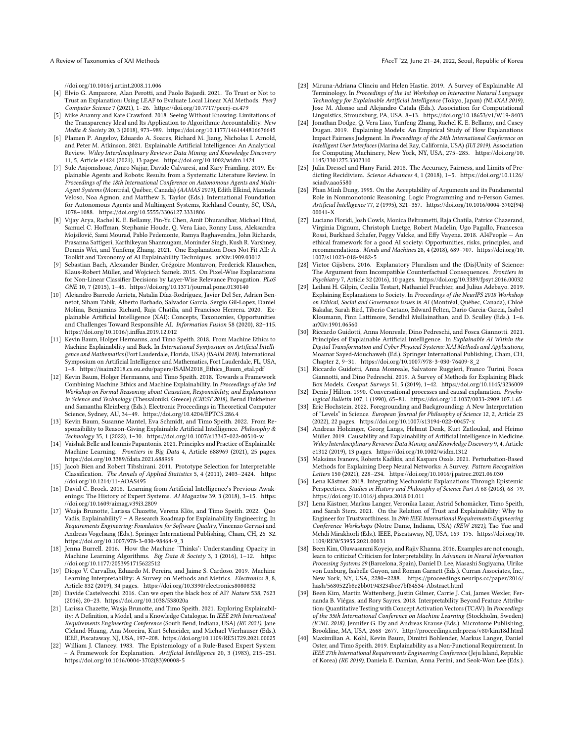A Review of Taxonomies of XAI Methods FACCT '22, June 21–24, 2022, Seoul, Republic of Korea

[//doi.org/10.1016/j.artint.2008.11.006](https://doi.org/10.1016/j.artint.2008.11.006)

- <span id="page-10-32"></span>[4] Elvio G. Amparore, Alan Perotti, and Paolo Bajardi. 2021. To Trust or Not to Trust an Explanation: Using LEAF to Evaluate Local Linear XAI Methods. PeerJ Computer Science 7 (2021), 1–26.<https://doi.org/10.7717/peerj-cs.479>
- <span id="page-10-21"></span>[5] Mike Ananny and Kate Crawford. 2018. Seeing Without Knowing: Limitations of the Transparency Ideal and Its Application to Algorithmic Accountability. New Media & Society 20, 3 (2018), 973–989.<https://doi.org/10.1177/1461444816676645>
- <span id="page-10-11"></span>[6] Plamen P. Angelov, Eduardo A. Soares, Richard M. Jiang, Nicholas I. Arnold, and Peter M. Atkinson. 2021. Explainable Artificial Intelligence: An Analytical Review. Wiley Interdisciplinary Reviews: Data Mining and Knowledge Discovery 11, 5, Article e1424 (2021), 13 pages.<https://doi.org/10.1002/widm.1424>
- <span id="page-10-30"></span>[7] Sule Anjomshoae, Amro Najjar, Davide Calvaresi, and Kary Främling. 2019. Explainable Agents and Robots: Results from a Systematic Literature Review. In Proceedings of the 18th International Conference on Autonomous Agents and Multi-Agent Systems (Montréal, Québec, Canada) (AAMAS 2019), Edith Elkind, Manuela Veloso, Noa Agmon, and Matthew E. Taylor (Eds.). International Foundation for Autonomous Agents and Multiagent Systems, Richland County, SC, USA, 1078–1088.<https://doi.org/10.5555/3306127.3331806>
- <span id="page-10-29"></span>[8] Vijay Arya, Rachel K. E. Bellamy, Pin-Yu Chen, Amit Dhurandhar, Michael Hind, Samuel C. Hoffman, Stephanie Houde, Q. Vera Liao, Ronny Luss, Aleksandra Mojsilović, Sami Mourad, Pablo Pedemonte, Ramya Raghavendra, John Richards, Prasanna Sattigeri, Karthikeyan Shanmugam, Moninder Singh, Kush R. Varshney, Dennis Wei, and Yunfeng Zhang. 2021. One Explanation Does Not Fit All: A Toolkit and Taxonomy of AI Explainability Techniques. arXiv[:1909.03012](https://arxiv.org/abs/1909.03012)
- <span id="page-10-23"></span>[9] Sebastian Bach, Alexander Binder, Grégoire Montavon, Frederick Klauschen, Klaus-Robert Müller, and Wojciech Samek. 2015. On Pixel-Wise Explanations for Non-Linear Classifier Decisions by Layer-Wise Relevance Propagation. PLoS ONE 10, 7 (2015), 1–46.<https://doi.org/10.1371/journal.pone.0130140>
- <span id="page-10-8"></span>[10] Alejandro Barredo Arrieta, Natalia Díaz-Rodríguez, Javier Del Ser, Adrien Bennetot, Siham Tabik, Alberto Barbado, Salvador García, Sergio Gil-Lopez, Daniel Molina, Benjamins Richard, Raja Chatila, and Francisco Herrera. 2020. Explainable Artificial Intelligence (XAI): Concepts, Taxonomies, Opportunities and Challenges Toward Responsible AI. Information Fusion 58 (2020), 82–115. <https://doi.org/10.1016/j.inffus.2019.12.012>
- <span id="page-10-26"></span>[11] Kevin Baum, Holger Hermanns, and Timo Speith. 2018. From Machine Ethics to Machine Explainability and Back. In International Symposium on Artificial Intelligence and Mathematics (Fort Lauderdale, Florida, USA) (ISAIM 2018). International Symposium on Artificial Intelligence and Mathematics, Fort Lauderdale, FL, USA, 1–8. [https://isaim2018.cs.ou.edu/papers/ISAIM2018\\_Ethics\\_Baum\\_etal.pdf](https://isaim2018.cs.ou.edu/papers/ISAIM2018_Ethics_Baum_etal.pdf)
- <span id="page-10-27"></span>[12] Kevin Baum, Holger Hermanns, and Timo Speith. 2018. Towards a Framework Combining Machine Ethics and Machine Explainability. In Proceedings of the 3rd Workshop on Formal Reasoning about Causation, Responsibility, and Explanations in Science and Technology (Thessaloniki, Greece) (CREST 2018), Bernd Finkbeiner and Samantha Kleinberg (Eds.). Electronic Proceedings in Theoretical Computer Science, Sydney, AU, 34–49.<https://doi.org/10.4204/EPTCS.286.4>
- <span id="page-10-35"></span>[13] Kevin Baum, Susanne Mantel, Eva Schmidt, and Timo Speith. 2022. From Responsibility to Reason-Giving Explainable Artificial Intelligence. Philosophy & Technology 35, 1 (2022), 1–30.<https://doi.org/10.1007/s13347-022-00510-w>
- <span id="page-10-12"></span>[14] Vaishak Belle and Ioannis Papantonis. 2021. Principles and Practice of Explainable Machine Learning. Frontiers in Big Data 4, Article 688969 (2021), 25 pages. <https://doi.org/10.3389/fdata.2021.688969>
- <span id="page-10-24"></span>[15] Jacob Bien and Robert Tibshirani. 2011. Prototype Selection for Interpretable Classification. The Annals of Applied Statistics 5, 4 (2011), 2403–2424. [https:](https://doi.org/10.1214/11-AOAS495) [//doi.org/10.1214/11-AOAS495](https://doi.org/10.1214/11-AOAS495)
- <span id="page-10-6"></span>[16] David C. Brock. 2018. Learning from Artificial Intelligence's Previous Awakenings: The History of Expert Systems. AI Magazine 39, 3 (2018), 3-15. [https:](https://doi.org/10.1609/aimag.v39i3.2809) [//doi.org/10.1609/aimag.v39i3.2809](https://doi.org/10.1609/aimag.v39i3.2809)
- <span id="page-10-19"></span>[17] Wasja Brunotte, Larissa Chazette, Verena Klös, and Timo Speith. 2022. Quo Vadis, Explainability? – A Research Roadmap for Explainability Engineering. In Requirements Engineering: Foundation for Software Quality, Vincenzo Gervasi and Andreas Vogelsang (Eds.). Springer International Publishing, Cham, CH, 26–32. [https://doi.org/10.1007/978-3-030-98464-9\\_3](https://doi.org/10.1007/978-3-030-98464-9_3)
- <span id="page-10-2"></span>[18] Jenna Burrell. 2016. How the Machine 'Thinks': Understanding Opacity in Machine Learning Algorithms. Big Data & Society 3, 1 (2016), 1-12. [https:](https://doi.org/10.1177/2053951715622512) [//doi.org/10.1177/2053951715622512](https://doi.org/10.1177/2053951715622512)
- <span id="page-10-10"></span>[19] Diogo V. Carvalho, Eduardo M. Pereira, and Jaime S. Cardoso. 2019. Machine Learning Interpretability: A Survey on Methods and Metrics. Electronics 8, 8, Article 832 (2019), 34 pages.<https://doi.org/10.3390/electronics8080832>
- <span id="page-10-3"></span>[20] Davide Castelvecchi. 2016. Can we open the black box of AI? Nature 538, 7623 (2016), 20–23.<https://doi.org/10.1038/538020a>
- <span id="page-10-4"></span>[21] Larissa Chazette, Wasja Brunotte, and Timo Speith. 2021. Exploring Explainability: A Definition, a Model, and a Knowledge Catalogue. In IEEE 29th International Requirements Engineering Conference (South Bend, Indiana, USA) (RE 2021), Jane Cleland-Huang, Ana Moreira, Kurt Schneider, and Michael Vierhauser (Eds.). IEEE, Piscataway, NJ, USA, 197–208.<https://doi.org/10.1109/RE51729.2021.00025>
- <span id="page-10-7"></span>[22] William J. Clancey. 1983. The Epistemology of a Rule-Based Expert System – A Framework for Explanation. Artificial Intelligence 20, 3 (1983), 215–251. [https://doi.org/10.1016/0004-3702\(83\)90008-5](https://doi.org/10.1016/0004-3702(83)90008-5)
- <span id="page-10-20"></span>[23] Miruna-Adriana Clinciu and Helen Hastie. 2019. A Survey of Explainable AI Terminology. In Proceedings of the 1st Workshop on Interactive Natural Language Technology for Explainable Artificial Intelligence (Tokyo, Japan) (NL4XAI 2019), Jose M. Alonso and Alejandro Catala (Eds.). Association for Computational Linguistics, Stroudsburg, PA, USA, 8–13.<https://doi.org/10.18653/v1/W19-8403>
- <span id="page-10-33"></span>[24] Jonathan Dodge, Q. Vera Liao, Yunfeng Zhang, Rachel K. E. Bellamy, and Casey Dugan. 2019. Explaining Models: An Empirical Study of How Explanations Impact Fairness Judgment. In Proceedings of the 24th International Conference on Intelligent User Interfaces (Marina del Ray, California, USA) (IUI 2019). Association for Computing Machinery, New York, NY, USA, 275–285. [https://doi.org/10.](https://doi.org/10.1145/3301275.3302310) [1145/3301275.3302310](https://doi.org/10.1145/3301275.3302310)
- <span id="page-10-1"></span>[25] Julia Dressel and Hany Farid. 2018. The Accuracy, Fairness, and Limits of Predicting Recidivism. Science Advances 4, 1 (2018), 1–5. [https://doi.org/10.1126/](https://doi.org/10.1126/sciadv.aao5580) [sciadv.aao5580](https://doi.org/10.1126/sciadv.aao5580)
- <span id="page-10-28"></span>[26] Phan Minh Dung. 1995. On the Acceptability of Arguments and its Fundamental Role in Nonmonotonic Reasoning, Logic Programming and n-Person Games. Artificial Intelligence 77, 2 (1995), 321–357. [https://doi.org/10.1016/0004-3702\(94\)](https://doi.org/10.1016/0004-3702(94)00041-X) [00041-X](https://doi.org/10.1016/0004-3702(94)00041-X)
- <span id="page-10-36"></span>[27] Luciano Floridi, Josh Cowls, Monica Beltrametti, Raja Chatila, Patrice Chazerand, Virginia Dignum, Christoph Luetge, Robert Madelin, Ugo Pagallo, Francesca Rossi, Burkhard Schafer, Peggy Valcke, and Effy Vayena. 2018. AI4People — An ethical framework for a good AI society: Opportunities, risks, principles, and recommendations. Minds and Machines 28, 4 (2018), 689–707. [https://doi.org/10.](https://doi.org/10.1007/s11023-018-9482-5) [1007/s11023-018-9482-5](https://doi.org/10.1007/s11023-018-9482-5)
- <span id="page-10-15"></span>[28] Victor Gijsbers. 2016. Explanatory Pluralism and the (Dis)Unity of Science: The Argument from Incompatible Counterfactual Consequences. Frontiers in Psychiatry 7, Article 32 (2016), 10 pages.<https://doi.org/10.3389/fpsyt.2016.00032>
- <span id="page-10-9"></span>[29] Leilani H. Gilpin, Cecilia Testart, Nathaniel Fruchter, and Julius Adebayo. 2019. Explaining Explanations to Society. In Proceedings of the NeurIPS 2018 Workshop on Ethical, Social and Governance Issues in AI (Montréal, Québec, Canada), Chloé Bakalar, Sarah Bird, Tiberio Caetano, Edward Felten, Dario Garcia-Garcia, Isabel Kloumann, Finn Lattimore, Sendhil Mullainathan, and D. Sculley (Eds.). 1–6. arXiv[:1901.06560](https://arxiv.org/abs/1901.06560)
- <span id="page-10-13"></span>[30] Riccardo Guidotti, Anna Monreale, Dino Pedreschi, and Fosca Giannotti. 2021. Principles of Explainable Artificial Intelligence. In Explainable AI Within the Digital Transformation and Cyber Physical Systems: XAI Methods and Applications, Moamar Sayed-Mouchaweh (Ed.). Springer International Publishing, Cham, CH, Chapter 2, 9–31. [https://doi.org/10.1007/978-3-030-76409-8\\_2](https://doi.org/10.1007/978-3-030-76409-8_2)
- <span id="page-10-14"></span>[31] Riccardo Guidotti, Anna Monreale, Salvatore Ruggieri, Franco Turini, Fosca Giannotti, and Dino Pedreschi. 2019. A Survey of Methods for Explaining Black Box Models. Comput. Surveys 51, 5 (2019), 1–42.<https://doi.org/10.1145/3236009>
- <span id="page-10-25"></span>[32] Denis J Hilton. 1990. Conversational processes and causal explanation. Psychological Bulletin 107, 1 (1990), 65–81.<https://doi.org/10.1037/0033-2909.107.1.65>
- <span id="page-10-16"></span>[33] Eric Hochstein. 2022. Foregrounding and Backgrounding: A New Interpretation of "Levels" in Science. European Journal for Philosophy of Science 12, 2, Article 23 (2022), 22 pages.<https://doi.org/10.1007/s13194-022-00457-x>
- <span id="page-10-0"></span>[34] Andreas Holzinger, Georg Langs, Helmut Denk, Kurt Zatloukal, and Heimo Müller. 2019. Causability and Explainability of Artificial Intelligence in Medicine. Wiley Interdisciplinary Reviews: Data Mining and Knowledge Discovery 9, 4, Article e1312 (2019), 13 pages.<https://doi.org/10.1002/widm.1312>
- <span id="page-10-31"></span>[35] Maksims Ivanovs, Roberts Kadikis, and Kaspars Ozols. 2021. Perturbation-Based Methods for Explaining Deep Neural Networks: A Survey. Pattern Recognition Letters 150 (2021), 228–234.<https://doi.org/10.1016/j.patrec.2021.06.030>
- <span id="page-10-17"></span>[36] Lena Kästner. 2018. Integrating Mechanistic Explanations Through Epistemic Perspectives. Studies in History and Philosophy of Science Part A 68 (2018), 68–79. <https://doi.org/10.1016/j.shpsa.2018.01.011>
- <span id="page-10-34"></span>[37] Lena Kästner, Markus Langer, Veronika Lazar, Astrid Schomäcker, Timo Speith, and Sarah Sterz. 2021. On the Relation of Trust and Explainability: Why to Engineer for Trustworthiness. In 29th IEEE International Requirements Engineering Conference Workshops (Notre Dame, Indiana, USA) (REW 2021), Tao Yue and Mehdi Mirakhorli (Eds.). IEEE, Piscataway, NJ, USA, 169–175. [https://doi.org/10.](https://doi.org/10.1109/REW53955.2021.00031) [1109/REW53955.2021.00031](https://doi.org/10.1109/REW53955.2021.00031)
- <span id="page-10-18"></span>[38] Been Kim, Oluwasanmi Koyejo, and Rajiv Khanna. 2016. Examples are not enough, learn to criticize! Criticism for Interpretability. In Advances in Neural Information Processing Systems 29 (Barcelona, Spain), Daniel D. Lee, Masashi Sugiyama, Ulrike von Luxburg, Isabelle Guyon, and Roman Garnett (Eds.). Curran Associates, Inc., New York, NY, USA, 2280–2288. [https://proceedings.neurips.cc/paper/2016/](https://proceedings.neurips.cc/paper/2016/hash/5680522b8e2bb01943234bce7bf84534-Abstract.html) [hash/5680522b8e2bb01943234bce7bf84534-Abstract.html](https://proceedings.neurips.cc/paper/2016/hash/5680522b8e2bb01943234bce7bf84534-Abstract.html)
- <span id="page-10-22"></span>[39] Been Kim, Martin Wattenberg, Justin Gilmer, Carrie J. Cai, James Wexler, Fernanda B. Viégas, and Rory Sayres. 2018. Interpretability Beyond Feature Attribution: Quantitative Testing with Concept Activation Vectors (TCAV). In Proceedings of the 35th International Conference on Machine Learning (Stockholm, Sweden) (ICML 2018), Jennifer G. Dy and Andreas Krause (Eds.). Microtome Publishing, Brookline, MA, USA, 2668–2677.<http://proceedings.mlr.press/v80/kim18d.html>
- <span id="page-10-5"></span>[40] Maximilian A. Köhl, Kevin Baum, Dimitri Bohlender, Markus Langer, Daniel Oster, and Timo Speith. 2019. Explainability as a Non-Functional Requirement. In IEEE 27th International Requirements Engineering Conference (Jeju Island, Republic of Korea) (RE 2019), Daniela E. Damian, Anna Perini, and Seok-Won Lee (Eds.).